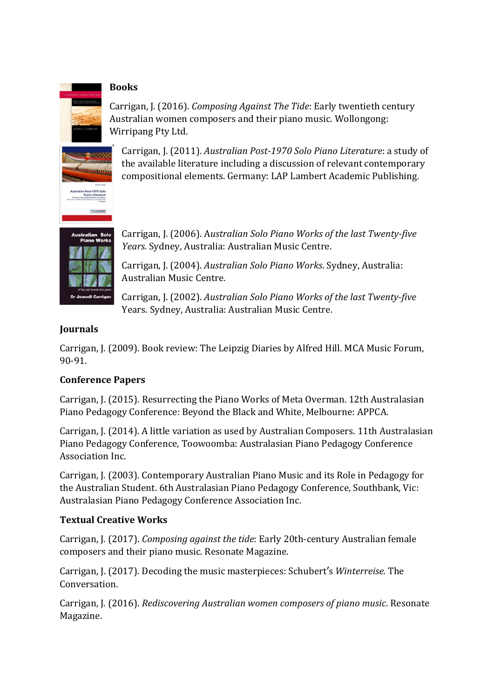#### **Books**

Carrigan, J. (2016). *Composing Against The Tide*: Early twentieth century Australian women composers and their piano music. Wollongong: Wirripang Pty Ltd.



Carrigan, J. (2011). *Australian Post‐1970 Solo Piano Literature*: a study of the available literature including a discussion of relevant contemporary compositional elements. Germany: LAP Lambert Academic Publishing.



Carrigan, J. (2006). A*ustralian Solo Piano Works of the last Twenty‐five Years.* Sydney, Australia: Australian Music Centre.

Carrigan, J. (2004). *Australian Solo Piano Works*. Sydney, Australia: Australian Music Centre.

Carrigan, J. (2002). *Australian Solo Piano Works of the last Twenty‐five* Years. Sydney, Australia: Australian Music Centre.

#### **Journals**

Carrigan, J. (2009). Book review: The Leipzig Diaries by Alfred Hill. MCA Music Forum, 90-91.

# **Conference Papers**

Carrigan, J. (2015). Resurrecting the Piano Works of Meta Overman. 12th Australasian Piano Pedagogy Conference: Beyond the Black and White, Melbourne: APPCA.

Carrigan, J. (2014). A little variation as used by Australian Composers. 11th Australasian Piano Pedagogy Conference, Toowoomba: Australasian Piano Pedagogy Conference Association Inc.

Carrigan, J. (2003). Contemporary Australian Piano Music and its Role in Pedagogy for the Australian Student. 6th Australasian Piano Pedagogy Conference, Southbank, Vic: Australasian Piano Pedagogy Conference Association Inc.

# **Textual Creative Works**

Carrigan, J. (2017). *Composing against the tide*: Early 20th-century Australian female composers and their piano music. Resonate Magazine.

Carrigan, J. (2017). Decoding the music masterpieces: Schubert's *Winterreise.* The Conversation.

Carrigan, J. (2016). *Rediscovering Australian women composers of piano music*. Resonate Magazine.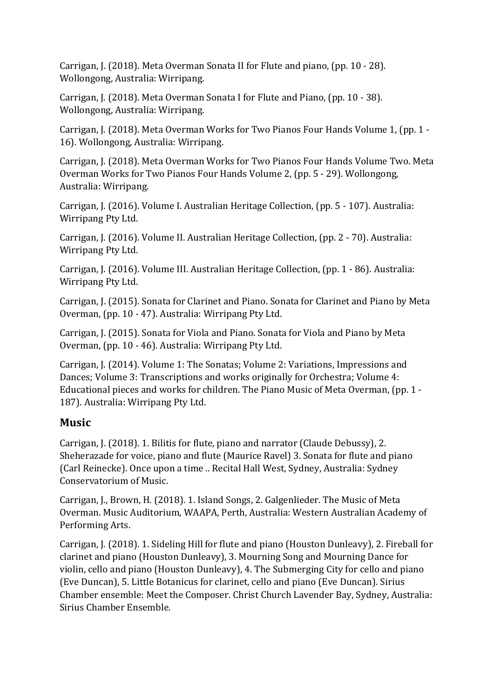Carrigan, J. (2018). Meta Overman Sonata II for Flute and piano, (pp. 10 - 28). Wollongong, Australia: Wirripang.

Carrigan, J. (2018). Meta Overman Sonata I for Flute and Piano, (pp. 10 - 38). Wollongong, Australia: Wirripang.

Carrigan, J. (2018). Meta Overman Works for Two Pianos Four Hands Volume 1, (pp. 1 - 16). Wollongong, Australia: Wirripang.

Carrigan, J. (2018). Meta Overman Works for Two Pianos Four Hands Volume Two. Meta Overman Works for Two Pianos Four Hands Volume 2, (pp. 5 - 29). Wollongong, Australia: Wirripang.

Carrigan, J. (2016). Volume I. Australian Heritage Collection, (pp. 5 - 107). Australia: Wirripang Pty Ltd.

Carrigan, J. (2016). Volume II. Australian Heritage Collection, (pp. 2 - 70). Australia: Wirripang Pty Ltd.

Carrigan, J. (2016). Volume III. Australian Heritage Collection, (pp. 1 - 86). Australia: Wirripang Pty Ltd.

Carrigan, J. (2015). Sonata for Clarinet and Piano. Sonata for Clarinet and Piano by Meta Overman, (pp. 10 - 47). Australia: Wirripang Pty Ltd.

Carrigan, J. (2015). Sonata for Viola and Piano. Sonata for Viola and Piano by Meta Overman, (pp. 10 - 46). Australia: Wirripang Pty Ltd.

Carrigan, J. (2014). Volume 1: The Sonatas; Volume 2: Variations, Impressions and Dances; Volume 3: Transcriptions and works originally for Orchestra; Volume 4: Educational pieces and works for children. The Piano Music of Meta Overman, (pp. 1 - 187). Australia: Wirripang Pty Ltd.

# **Music**

Carrigan, J. (2018). 1. Bilitis for flute, piano and narrator (Claude Debussy), 2. Sheherazade for voice, piano and flute (Maurice Ravel) 3. Sonata for flute and piano (Carl Reinecke). Once upon a time .. Recital Hall West, Sydney, Australia: Sydney Conservatorium of Music.

Carrigan, J., Brown, H. (2018). 1. Island Songs, 2. Galgenlieder. The Music of Meta Overman. Music Auditorium, WAAPA, Perth, Australia: Western Australian Academy of Performing Arts.

Carrigan, J. (2018). 1. Sideling Hill for flute and piano (Houston Dunleavy), 2. Fireball for clarinet and piano (Houston Dunleavy), 3. Mourning Song and Mourning Dance for violin, cello and piano (Houston Dunleavy), 4. The Submerging City for cello and piano (Eve Duncan), 5. Little Botanicus for clarinet, cello and piano (Eve Duncan). Sirius Chamber ensemble: Meet the Composer. Christ Church Lavender Bay, Sydney, Australia: Sirius Chamber Ensemble.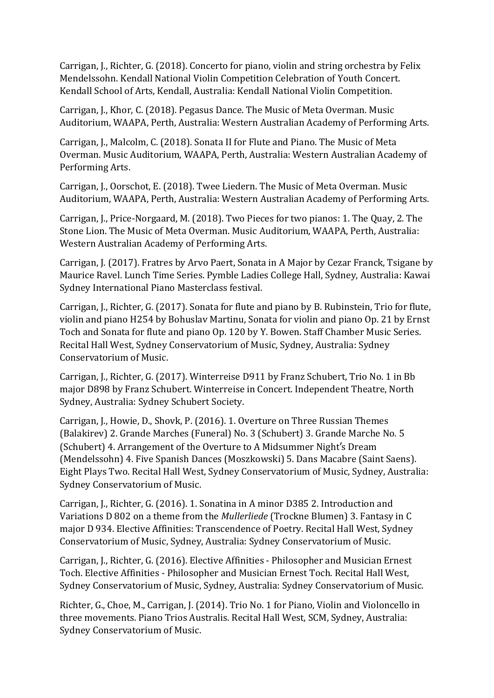Carrigan, J., Richter, G. (2018). Concerto for piano, violin and string orchestra by Felix Mendelssohn. Kendall National Violin Competition Celebration of Youth Concert. Kendall School of Arts, Kendall, Australia: Kendall National Violin Competition.

Carrigan, J., Khor, C. (2018). Pegasus Dance. The Music of Meta Overman. Music Auditorium, WAAPA, Perth, Australia: Western Australian Academy of Performing Arts.

Carrigan, J., Malcolm, C. (2018). Sonata II for Flute and Piano. The Music of Meta Overman. Music Auditorium, WAAPA, Perth, Australia: Western Australian Academy of Performing Arts.

Carrigan, J., Oorschot, E. (2018). Twee Liedern. The Music of Meta Overman. Music Auditorium, WAAPA, Perth, Australia: Western Australian Academy of Performing Arts.

Carrigan, J., Price-Norgaard, M. (2018). Two Pieces for two pianos: 1. The Quay, 2. The Stone Lion. The Music of Meta Overman. Music Auditorium, WAAPA, Perth, Australia: Western Australian Academy of Performing Arts.

Carrigan, J. (2017). Fratres by Arvo Paert, Sonata in A Major by Cezar Franck, Tsigane by Maurice Ravel. Lunch Time Series. Pymble Ladies College Hall, Sydney, Australia: Kawai Sydney International Piano Masterclass festival.

Carrigan, J., Richter, G. (2017). Sonata for flute and piano by B. Rubinstein, Trio for flute, violin and piano H254 by Bohuslav Martinu, Sonata for violin and piano Op. 21 by Ernst Toch and Sonata for flute and piano Op. 120 by Y. Bowen. Staff Chamber Music Series. Recital Hall West, Sydney Conservatorium of Music, Sydney, Australia: Sydney Conservatorium of Music.

Carrigan, J., Richter, G. (2017). Winterreise D911 by Franz Schubert, Trio No. 1 in Bb major D898 by Franz Schubert. Winterreise in Concert. Independent Theatre, North Sydney, Australia: Sydney Schubert Society.

Carrigan, J., Howie, D., Shovk, P. (2016). 1. Overture on Three Russian Themes (Balakirev) 2. Grande Marches (Funeral) No. 3 (Schubert) 3. Grande Marche No. 5 (Schubert) 4. Arrangement of the Overture to A Midsummer Night's Dream (Mendelssohn) 4. Five Spanish Dances (Moszkowski) 5. Dans Macabre (Saint Saens). Eight Plays Two. Recital Hall West, Sydney Conservatorium of Music, Sydney, Australia: Sydney Conservatorium of Music.

Carrigan, J., Richter, G. (2016). 1. Sonatina in A minor D385 2. Introduction and Variations D 802 on a theme from the *Mullerliede* (Trockne Blumen) 3. Fantasy in C major D 934. Elective Affinities: Transcendence of Poetry. Recital Hall West, Sydney Conservatorium of Music, Sydney, Australia: Sydney Conservatorium of Music.

Carrigan, J., Richter, G. (2016). Elective Affinities - Philosopher and Musician Ernest Toch. Elective Affinities - Philosopher and Musician Ernest Toch. Recital Hall West, Sydney Conservatorium of Music, Sydney, Australia: Sydney Conservatorium of Music.

Richter, G., Choe, M., Carrigan, J. (2014). Trio No. 1 for Piano, Violin and Violoncello in three movements. Piano Trios Australis. Recital Hall West, SCM, Sydney, Australia: Sydney Conservatorium of Music.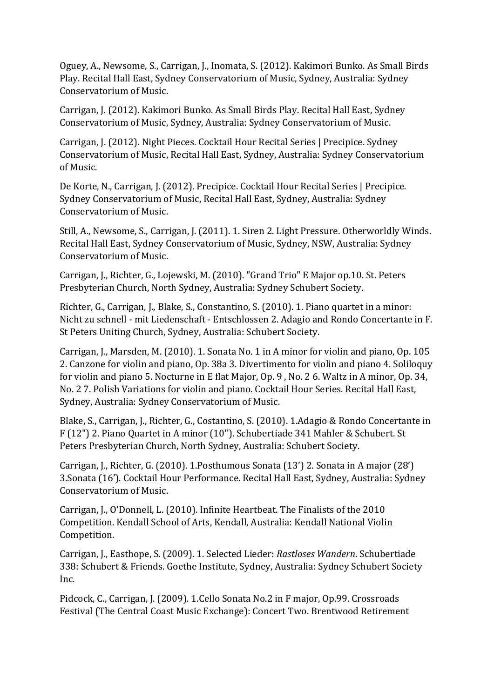Oguey, A., Newsome, S., Carrigan, J., Inomata, S. (2012). Kakimori Bunko. As Small Birds Play. Recital Hall East, Sydney Conservatorium of Music, Sydney, Australia: Sydney Conservatorium of Music.

Carrigan, J. (2012). Kakimori Bunko. As Small Birds Play. Recital Hall East, Sydney Conservatorium of Music, Sydney, Australia: Sydney Conservatorium of Music.

Carrigan, J. (2012). Night Pieces. Cocktail Hour Recital Series | Precipice. Sydney Conservatorium of Music, Recital Hall East, Sydney, Australia: Sydney Conservatorium of Music.

De Korte, N., Carrigan, J. (2012). Precipice. Cocktail Hour Recital Series | Precipice. Sydney Conservatorium of Music, Recital Hall East, Sydney, Australia: Sydney Conservatorium of Music.

Still, A., Newsome, S., Carrigan, J. (2011). 1. Siren 2. Light Pressure. Otherworldly Winds. Recital Hall East, Sydney Conservatorium of Music, Sydney, NSW, Australia: Sydney Conservatorium of Music.

Carrigan, J., Richter, G., Lojewski, M. (2010). "Grand Trio" E Major op.10. St. Peters Presbyterian Church, North Sydney, Australia: Sydney Schubert Society.

Richter, G., Carrigan, J., Blake, S., Constantino, S. (2010). 1. Piano quartet in a minor: Nicht zu schnell - mit Liedenschaft - Entschlossen 2. Adagio and Rondo Concertante in F. St Peters Uniting Church, Sydney, Australia: Schubert Society.

Carrigan, J., Marsden, M. (2010). 1. Sonata No. 1 in A minor for violin and piano, Op. 105 2. Canzone for violin and piano, Op. 38a 3. Divertimento for violin and piano 4. Soliloquy for violin and piano 5. Nocturne in E flat Major, Op. 9 , No. 2 6. Waltz in A minor, Op. 34, No. 2 7. Polish Variations for violin and piano. Cocktail Hour Series. Recital Hall East, Sydney, Australia: Sydney Conservatorium of Music.

Blake, S., Carrigan, J., Richter, G., Costantino, S. (2010). 1.Adagio & Rondo Concertante in F (12") 2. Piano Quartet in A minor (10"). Schubertiade 341 Mahler & Schubert. St Peters Presbyterian Church, North Sydney, Australia: Schubert Society.

Carrigan, J., Richter, G. (2010). 1.Posthumous Sonata (13') 2. Sonata in A major (28') 3.Sonata (16'). Cocktail Hour Performance. Recital Hall East, Sydney, Australia: Sydney Conservatorium of Music.

Carrigan, J., O'Donnell, L. (2010). Infinite Heartbeat. The Finalists of the 2010 Competition. Kendall School of Arts, Kendall, Australia: Kendall National Violin Competition.

Carrigan, J., Easthope, S. (2009). 1. Selected Lieder: *Rastloses Wandern*. Schubertiade 338: Schubert & Friends. Goethe Institute, Sydney, Australia: Sydney Schubert Society Inc.

Pidcock, C., Carrigan, J. (2009). 1.Cello Sonata No.2 in F major, Op.99. Crossroads Festival (The Central Coast Music Exchange): Concert Two. Brentwood Retirement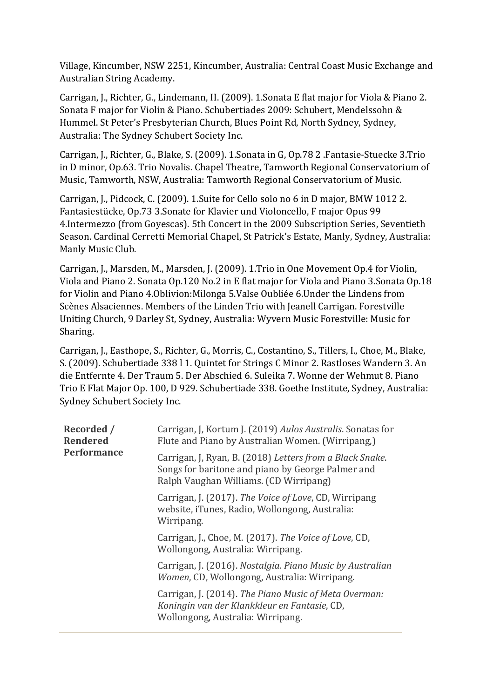Village, Kincumber, NSW 2251, Kincumber, Australia: Central Coast Music Exchange and Australian String Academy.

Carrigan, J., Richter, G., Lindemann, H. (2009). 1.Sonata E flat major for Viola & Piano 2. Sonata F major for Violin & Piano. Schubertiades 2009: Schubert, Mendelssohn & Hummel. St Peter's Presbyterian Church, Blues Point Rd, North Sydney, Sydney, Australia: The Sydney Schubert Society Inc.

Carrigan, J., Richter, G., Blake, S. (2009). 1.Sonata in G, Op.78 2 .Fantasie-Stuecke 3.Trio in D minor, Op.63. Trio Novalis. Chapel Theatre, Tamworth Regional Conservatorium of Music, Tamworth, NSW, Australia: Tamworth Regional Conservatorium of Music.

Carrigan, J., Pidcock, C. (2009). 1.Suite for Cello solo no 6 in D major, BMW 1012 2. Fantasiestücke, Op.73 3.Sonate for Klavier und Violoncello, F major Opus 99 4.Intermezzo (from Goyescas). 5th Concert in the 2009 Subscription Series, Seventieth Season. Cardinal Cerretti Memorial Chapel, St Patrick's Estate, Manly, Sydney, Australia: Manly Music Club.

Carrigan, J., Marsden, M., Marsden, J. (2009). 1.Trio in One Movement Op.4 for Violin, Viola and Piano 2. Sonata Op.120 No.2 in E flat major for Viola and Piano 3.Sonata Op.18 for Violin and Piano 4.Oblivion:Milonga 5.Valse Oubliée 6.Under the Lindens from Scènes Alsaciennes. Members of the Linden Trio with Jeanell Carrigan. Forestville Uniting Church, 9 Darley St, Sydney, Australia: Wyvern Music Forestville: Music for Sharing.

Carrigan, J., Easthope, S., Richter, G., Morris, C., Costantino, S., Tillers, I., Choe, M., Blake, S. (2009). Schubertiade 338 l 1. Quintet for Strings C Minor 2. Rastloses Wandern 3. An die Entfernte 4. Der Traum 5. Der Abschied 6. Suleika 7. Wonne der Wehmut 8. Piano Trio E Flat Major Op. 100, D 929. Schubertiade 338. Goethe Institute, Sydney, Australia: Sydney Schubert Society Inc.

| <b>Recorded</b> /<br><b>Rendered</b><br>Performance | Carrigan, J, Kortum J. (2019) Aulos Australis. Sonatas for<br>Flute and Piano by Australian Women. (Wirripang,)                                         |
|-----------------------------------------------------|---------------------------------------------------------------------------------------------------------------------------------------------------------|
|                                                     | Carrigan, J, Ryan, B. (2018) Letters from a Black Snake.<br>Songs for baritone and piano by George Palmer and<br>Ralph Vaughan Williams. (CD Wirripang) |
|                                                     | Carrigan, J. (2017). The Voice of Love, CD, Wirripang<br>website, iTunes, Radio, Wollongong, Australia:<br>Wirripang.                                   |
|                                                     | Carrigan, J., Choe, M. (2017). The Voice of Love, CD,<br>Wollongong, Australia: Wirripang.                                                              |
|                                                     | Carrigan, J. (2016). Nostalgia. Piano Music by Australian<br>Women, CD, Wollongong, Australia: Wirripang.                                               |
|                                                     | Carrigan, J. (2014). The Piano Music of Meta Overman:<br>Koningin van der Klankkleur en Fantasie, CD,<br>Wollongong, Australia: Wirripang.              |